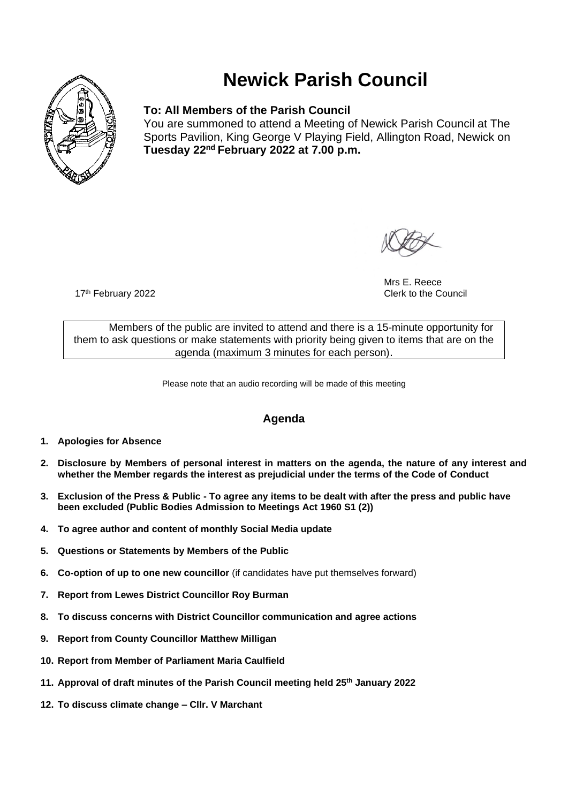

# **Newick Parish Council**

### **To: All Members of the Parish Council**

You are summoned to attend a Meeting of Newick Parish Council at The Sports Pavilion, King George V Playing Field, Allington Road, Newick on **Tuesday 22 nd February 2022 at 7.00 p.m.** 

Mrs E. Reece 17<sup>th</sup> February 2022 **Clerk to the Council** 

Members of the public are invited to attend and there is a 15-minute opportunity for them to ask questions or make statements with priority being given to items that are on the agenda (maximum 3 minutes for each person).

Please note that an audio recording will be made of this meeting

## **Agenda**

- **1. Apologies for Absence**
- **2. Disclosure by Members of personal interest in matters on the agenda, the nature of any interest and whether the Member regards the interest as prejudicial under the terms of the Code of Conduct**
- **3. Exclusion of the Press & Public - To agree any items to be dealt with after the press and public have been excluded (Public Bodies Admission to Meetings Act 1960 S1 (2))**
- **4. To agree author and content of monthly Social Media update**
- **5. Questions or Statements by Members of the Public**
- **6. Co-option of up to one new councillor** (if candidates have put themselves forward)
- **7. Report from Lewes District Councillor Roy Burman**
- **8. To discuss concerns with District Councillor communication and agree actions**
- **9. Report from County Councillor Matthew Milligan**
- **10. Report from Member of Parliament Maria Caulfield**
- **11. Approval of draft minutes of the Parish Council meeting held 25th January 2022**
- **12. To discuss climate change – Cllr. V Marchant**